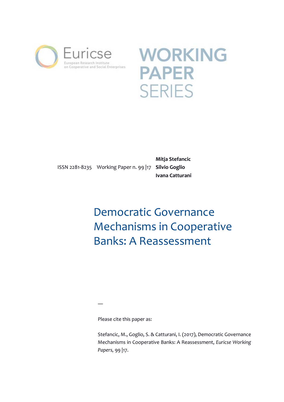



ISSN 2281-8235 Working Paper n. 99 |17 **Silvio Goglio**

**Mitja Stefancic Ivana Catturani**

# Democratic Governance Mechanisms in Cooperative Banks: A Reassessment

―

Please cite this paper as:

Stefancic, M., Goglio, S. & Catturani, I. (2017), Democratic Governance Mechanisms in Cooperative Banks: A Reassessment, *Euricse Working Papers,* 99 |17.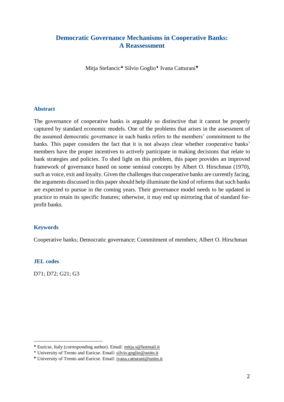# **Democratic Governance Mechanisms in Cooperative Banks: A Reassessment**

Mitja Stefancic<sup>\*</sup> Silvio Goglio<sup>\*</sup> Ivana Catturani<sup>\*</sup>

#### **Abstract**

The governance of cooperative banks is arguably so distinctive that it cannot be properly captured by standard economic models. One of the problems that arises in the assessment of the assumed democratic governance in such banks refers to the members' commitment to the banks. This paper considers the fact that it is not always clear whether cooperative banks' members have the proper incentives to actively participate in making decisions that relate to bank strategies and policies. To shed light on this problem, this paper provides an improved framework of governance based on some seminal concepts by Albert O. Hirschman (1970), such as voice, exit and loyalty. Given the challenges that cooperative banks are currently facing, the arguments discussed in this paper should help illuminate the kind of reforms that such banks are expected to pursue in the coming years. Their governance model needs to be updated in practice to retain its specific features; otherwise, it may end up mirroring that of standard forprofit banks.

#### **Keywords**

Cooperative banks; Democratic governance; Commitment of members; Albert O. Hirschman

#### **JEL codes**

 $\overline{a}$ 

D71; D72; G21; G3

Euricse, Italy (corresponding author). Email: [mitja.s@hotmail.it](mailto:mitja.s@hotmail.it)

University of Trento and Euricse. Email: [silvio.goglio@unitn.it](mailto:silvio.goglio@unitn.it)

University of Trento and Euricse. Email: [ivana.catturani@unitn.it](mailto:ivana.catturani@unitn.it)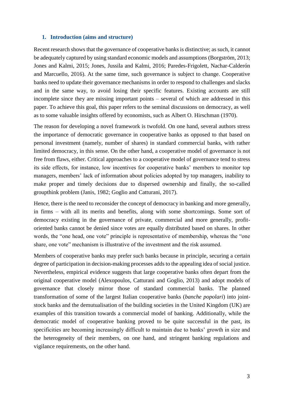#### **1. Introduction (aims and structure)**

Recent research shows that the governance of cooperative banks is distinctive; as such, it cannot be adequately captured by using standard economic models and assumptions (Borgström, 2013; Jones and Kalmi, 2015; Jones, Jussila and Kalmi, 2016; Paredes-Frigolett, Nachar-Calderón and Marcuello, 2016). At the same time, such governance is subject to change. Cooperative banks need to update their governance mechanisms in order to respond to challenges and slacks and in the same way, to avoid losing their specific features. Existing accounts are still incomplete since they are missing important points – several of which are addressed in this paper. To achieve this goal, this paper refers to the seminal discussions on democracy, as well as to some valuable insights offered by economists, such as Albert O. Hirschman (1970).

The reason for developing a novel framework is twofold. On one hand, several authors stress the importance of democratic governance in cooperative banks as opposed to that based on personal investment (namely, number of shares) in standard commercial banks, with rather limited democracy, in this sense. On the other hand, a cooperative model of governance is not free from flaws, either. Critical approaches to a cooperative model of governance tend to stress its side effects, for instance, low incentives for cooperative banks' members to monitor top managers, members' lack of information about policies adopted by top managers, inability to make proper and timely decisions due to dispersed ownership and finally, the so-called groupthink problem (Janis, 1982; Goglio and Catturani, 2017).

Hence, there is the need to reconsider the concept of democracy in banking and more generally, in firms – with all its merits and benefits, along with some shortcomings. Some sort of democracy existing in the governance of private, commercial and more generally, profitoriented banks cannot be denied since votes are equally distributed based on shares. In other words, the "one head, one vote" principle is representative of membership, whereas the "one share, one vote" mechanism is illustrative of the investment and the risk assumed.

Members of cooperative banks may prefer such banks because in principle, securing a certain degree of participation in decision-making processes adds to the appealing idea of social justice. Nevertheless, empirical evidence suggests that large cooperative banks often depart from the original cooperative model (Alexopoulos, Catturani and Goglio, 2013) and adopt models of governance that closely mirror those of standard commercial banks. The planned transformation of some of the largest Italian cooperative banks (*banche popolari*) into jointstock banks and the demutualisation of the building societies in the United Kingdom (UK) are examples of this transition towards a commercial model of banking. Additionally, while the democratic model of cooperative banking proved to be quite successful in the past, its specificities are becoming increasingly difficult to maintain due to banks' growth in size and the heterogeneity of their members, on one hand, and stringent banking regulations and vigilance requirements, on the other hand.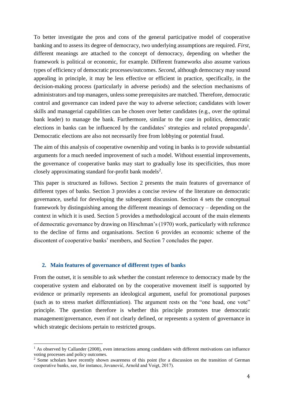To better investigate the pros and cons of the general participative model of cooperative banking and to assess its degree of democracy, two underlying assumptions are required. *First*, different meanings are attached to the concept of democracy, depending on whether the framework is political or economic, for example. Different frameworks also assume various types of efficiency of democratic processes/outcomes. *Second*, although democracy may sound appealing in principle, it may be less effective or efficient in practice, specifically, in the decision-making process (particularly in adverse periods) and the selection mechanisms of administrators and top managers, unless some prerequisites are matched. Therefore, democratic control and governance can indeed pave the way to adverse selection; candidates with lower skills and managerial capabilities can be chosen over better candidates (e.g., over the optimal bank leader) to manage the bank. Furthermore, similar to the case in politics, democratic elections in banks can be influenced by the candidates' strategies and related propaganda<sup>1</sup>. Democratic elections are also not necessarily free from lobbying or potential fraud.

The aim of this analysis of cooperative ownership and voting in banks is to provide substantial arguments for a much needed improvement of such a model. Without essential improvements, the governance of cooperative banks may start to gradually lose its specificities, thus more closely approximating standard for-profit bank models<sup>2</sup>.

This paper is structured as follows. Section 2 presents the main features of governance of different types of banks. Section 3 provides a concise review of the literature on democratic governance, useful for developing the subsequent discussion. Section 4 sets the conceptual framework by distinguishing among the different meanings of democracy – depending on the context in which it is used. Section 5 provides a methodological account of the main elements of democratic governance by drawing on Hirschman's (1970) work, particularly with reference to the decline of firms and organisations. Section 6 provides an economic scheme of the discontent of cooperative banks' members, and Section 7 concludes the paper.

## **2. Main features of governance of different types of banks**

 $\overline{a}$ 

From the outset, it is sensible to ask whether the constant reference to democracy made by the cooperative system and elaborated on by the cooperative movement itself is supported by evidence or primarily represents an ideological argument, useful for promotional purposes (such as to stress market differentiation). The argument rests on the "one head, one vote" principle. The question therefore is whether this principle promotes true democratic management/governance, even if not clearly defined, or represents a system of governance in which strategic decisions pertain to restricted groups.

 $<sup>1</sup>$  As observed by Callander (2008), even interactions among candidates with different motivations can influence</sup> voting processes and policy outcomes.

<sup>&</sup>lt;sup>2</sup> Some scholars have recently shown awareness of this point (for a discussion on the transition of German cooperative banks, see, for instance, Jovanović, Arnold and Voigt, 2017).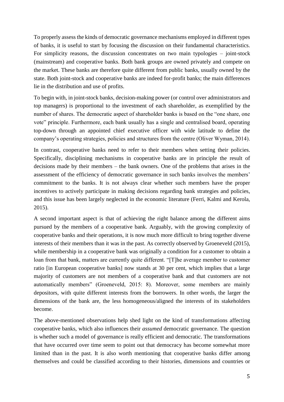To properly assess the kinds of democratic governance mechanisms employed in different types of banks, it is useful to start by focusing the discussion on their fundamental characteristics. For simplicity reasons, the discussion concentrates on two main typologies – joint-stock (mainstream) and cooperative banks. Both bank groups are owned privately and compete on the market. These banks are therefore quite different from public banks, usually owned by the state. Both joint-stock and cooperative banks are indeed for-profit banks; the main differences lie in the distribution and use of profits.

To begin with, in joint-stock banks, decision-making power (or control over administrators and top managers) is proportional to the investment of each shareholder, as exemplified by the number of shares. The democratic aspect of shareholder banks is based on the "one share, one vote" principle. Furthermore, each bank usually has a single and centralised board, operating top-down through an appointed chief executive officer with wide latitude to define the company's operating strategies, policies and structures from the centre (Oliver Wyman, 2014).

In contrast, cooperative banks need to refer to their members when setting their policies. Specifically, disciplining mechanisms in cooperative banks are in principle the result of decisions made by their members – the bank owners. One of the problems that arises in the assessment of the efficiency of democratic governance in such banks involves the members' commitment to the banks. It is not always clear whether such members have the proper incentives to actively participate in making decisions regarding bank strategies and policies, and this issue has been largely neglected in the economic literature (Ferri, Kalmi and Kerola, 2015).

A second important aspect is that of achieving the right balance among the different aims pursued by the members of a cooperative bank. Arguably, with the growing complexity of cooperative banks and their operations, it is now much more difficult to bring together diverse interests of their members than it was in the past. As correctly observed by Groeneveld (2015), while membership in a cooperative bank was originally a condition for a customer to obtain a loan from that bank, matters are currently quite different. "[T]he average member to customer ratio [in European cooperative banks] now stands at 30 per cent, which implies that a large majority of customers are not members of a cooperative bank and that customers are not automatically members" (Groeneveld, 2015: 8). Moreover, some members are mainly depositors, with quite different interests from the borrowers. In other words, the larger the dimensions of the bank are, the less homogeneous/aligned the interests of its stakeholders become.

The above-mentioned observations help shed light on the kind of transformations affecting cooperative banks, which also influences their *assumed* democratic governance. The question is whether such a model of governance is really efficient and democratic. The transformations that have occurred over time seem to point out that democracy has become somewhat more limited than in the past. It is also worth mentioning that cooperative banks differ among themselves and could be classified according to their histories, dimensions and countries or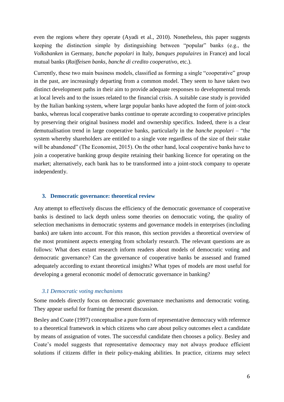even the regions where they operate (Ayadi et al., 2010). Nonetheless, this paper suggests keeping the distinction simple by distinguishing between "popular" banks (e.g., the *Volksbanken* in Germany, *banche popolari* in Italy, *banques populaires* in France) and local mutual banks (*Raiffeisen banks*, *banche di credito cooperativo*, etc.).

Currently, these two main business models, classified as forming a single "cooperative" group in the past, are increasingly departing from a common model. They seem to have taken two distinct development paths in their aim to provide adequate responses to developmental trends at local levels and to the issues related to the financial crisis. A suitable case study is provided by the Italian banking system, where large popular banks have adopted the form of joint-stock banks, whereas local cooperative banks continue to operate according to cooperative principles by preserving their original business model and ownership specifics. Indeed, there is a clear demutualisation trend in large cooperative banks, particularly in the *banche popolari* – "the system whereby shareholders are entitled to a single vote regardless of the size of their stake will be abandoned" (The Economist, 2015). On the other hand, local cooperative banks have to join a cooperative banking group despite retaining their banking licence for operating on the market; alternatively, each bank has to be transformed into a joint-stock company to operate independently.

## **3. Democratic governance: theoretical review**

Any attempt to effectively discuss the efficiency of the democratic governance of cooperative banks is destined to lack depth unless some theories on democratic voting, the quality of selection mechanisms in democratic systems and governance models in enterprises (including banks) are taken into account. For this reason, this section provides a theoretical overview of the most prominent aspects emerging from scholarly research. The relevant questions are as follows: What does extant research inform readers about models of democratic voting and democratic governance? Can the governance of cooperative banks be assessed and framed adequately according to extant theoretical insights? What types of models are most useful for developing a general economic model of democratic governance in banking?

#### *3.1 Democratic voting mechanisms*

Some models directly focus on democratic governance mechanisms and democratic voting. They appear useful for framing the present discussion.

Besley and Coate (1997) conceptualise a pure form of representative democracy with reference to a theoretical framework in which citizens who care about policy outcomes elect a candidate by means of assignation of votes. The successful candidate then chooses a policy. Besley and Coate's model suggests that representative democracy may not always produce efficient solutions if citizens differ in their policy-making abilities. In practice, citizens may select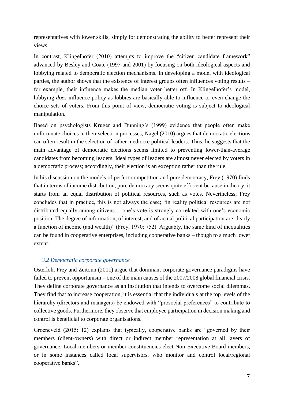representatives with lower skills, simply for demonstrating the ability to better represent their views.

In contrast, Klingelhofer (2010) attempts to improve the "citizen candidate framework" advanced by Besley and Coate (1997 and 2001) by focusing on both ideological aspects and lobbying related to democratic election mechanisms. In developing a model with ideological parties, the author shows that the existence of interest groups often influences voting results – for example, their influence makes the median voter better off. In Klingelhofer's model, lobbying *does* influence policy as lobbies are basically able to influence or even change the choice sets of voters. From this point of view, democratic voting is subject to ideological manipulation.

Based on psychologists Kruger and Dunning's (1999) evidence that people often make unfortunate choices in their selection processes, Nagel (2010) argues that democratic elections can often result in the selection of rather mediocre political leaders. Thus, he suggests that the main advantage of democratic elections seems limited to preventing lower-than-average candidates from becoming leaders. Ideal types of leaders are almost never elected by voters in a democratic process; accordingly, their election is an exception rather than the rule.

In his discussion on the models of perfect competition and pure democracy, Frey (1970) finds that in terms of income distribution, pure democracy seems quite efficient because in theory, it starts from an equal distribution of political resources, such as votes. Nevertheless, Frey concludes that in practice, this is not always the case; "in reality political resources are not distributed equally among citizens… one's vote is strongly correlated with one's economic position. The degree of information, of interest, and of actual political participation are clearly a function of income (and wealth)" (Frey, 1970: 752). Arguably, the same kind of inequalities can be found in cooperative enterprises, including cooperative banks – though to a much lower extent.

# *3.2 Democratic corporate governance*

Osterloh, Frey and Zeitoun (2011) argue that dominant corporate governance paradigms have failed to prevent opportunism – one of the main causes of the 2007/2008 global financial crisis. They define corporate governance as an institution that intends to overcome social dilemmas. They find that to increase cooperation, it is essential that the individuals at the top levels of the hierarchy (directors and managers) be endowed with "prosocial preferences" to contribute to collective goods. Furthermore, they observe that employee participation in decision making and control is beneficial to corporate organisations.

Groeneveld (2015: 12) explains that typically, cooperative banks are "governed by their members (client-owners) with direct or indirect member representation at all layers of governance. Local members or member constituencies elect Non-Executive Board members, or in some instances called local supervisors, who monitor and control local/regional cooperative banks".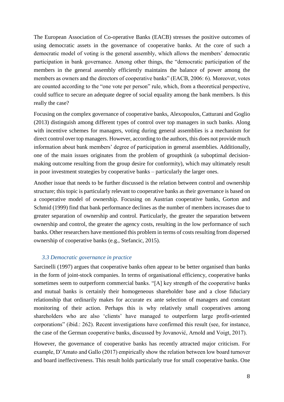The European Association of Co-operative Banks (EACB) stresses the positive outcomes of using democratic assets in the governance of cooperative banks. At the core of such a democratic model of voting is the general assembly, which allows the members' democratic participation in bank governance. Among other things, the "democratic participation of the members in the general assembly efficiently maintains the balance of power among the members as owners and the directors of cooperative banks" (EACB, 2006: 6). Moreover, votes are counted according to the "one vote per person" rule, which, from a theoretical perspective, could suffice to secure an adequate degree of social equality among the bank members. Is this really the case?

Focusing on the complex governance of cooperative banks, Alexopoulos, Catturani and Goglio (2013) distinguish among different types of control over top managers in such banks. Along with incentive schemes for managers, voting during general assemblies is a mechanism for direct control over top managers. However, according to the authors, this does not provide much information about bank members' degree of participation in general assemblies. Additionally, one of the main issues originates from the problem of groupthink (a suboptimal decisionmaking outcome resulting from the group desire for conformity), which may ultimately result in poor investment strategies by cooperative banks – particularly the larger ones.

Another issue that needs to be further discussed is the relation between control and ownership structure; this topic is particularly relevant to cooperative banks as their governance is based on a cooperative model of ownership. Focusing on Austrian cooperative banks, Gorton and Schmid (1999) find that bank performance declines as the number of members increases due to greater separation of ownership and control. Particularly, the greater the separation between ownership and control, the greater the agency costs, resulting in the low performance of such banks. Other researchers have mentioned this problem in terms of costs resulting from dispersed ownership of cooperative banks (e.g., Stefancic, 2015).

## *3.3 Democratic governance in practice*

Sarcinelli (1997) argues that cooperative banks often appear to be better organised than banks in the form of joint-stock companies. In terms of organisational efficiency, cooperative banks sometimes seem to outperform commercial banks. "[A] key strength of the cooperative banks and mutual banks is certainly their homogeneous shareholder base and a close fiduciary relationship that ordinarily makes for accurate ex ante selection of managers and constant monitoring of their action. Perhaps this is why relatively small cooperatives among shareholders who are also 'clients' have managed to outperform large profit-oriented corporations" (ibid.: 262). Recent investigations have confirmed this result (see, for instance, the case of the German cooperative banks, discussed by Jovanović, Arnold and Voigt, 2017).

However, the governance of cooperative banks has recently attracted major criticism. For example, D'Amato and Gallo (2017) empirically show the relation between low board turnover and board ineffectiveness. This result holds particularly true for small cooperative banks. One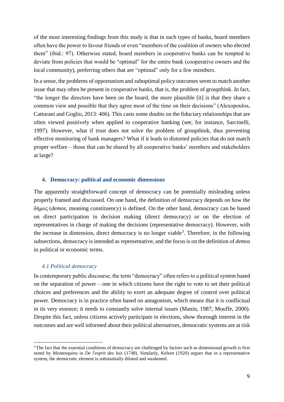of the most interesting findings from this study is that in such types of banks, board members often have the power to favour friends or even "members of the coalition of owners who elected them" (ibid.: 97). Otherwise stated, board members in cooperative banks can be tempted to deviate from policies that would be "optimal" for the entire bank (cooperative owners and the local community), preferring others that are "optimal" only for a few members.

In a sense, the problems of opportunism and suboptimal policy outcomes seem to match another issue that may often be present in cooperative banks, that is, the problem of groupthink. In fact, "the longer the directors have been on the board, the more plausible [it] is that they share a common view and possible that they agree most of the time on their decisions" (Alexopoulos, Catturani and Goglio, 2013: 406). This casts some doubts on the fiduciary relationships that are often viewed positively when applied to cooperative banking (see, for instance, Sarcinelli, 1997). However, what if trust does not solve the problem of groupthink, thus preventing effective monitoring of bank managers? What if it leads to distorted policies that do not match proper welfare – those that can be shared by all cooperative banks' members and stakeholders at large?

#### **4. Democracy: political and economic dimensions**

The apparently straightforward concept of democracy can be potentially misleading unless properly framed and discussed. On one hand, the definition of democracy depends on how the δήμος (*demos*, meaning constituency) is defined. On the other hand, democracy can be based on direct participation in decision making (direct democracy) or on the election of representatives in charge of making the decisions (representative democracy). However, with the increase in dimension, direct democracy is no longer viable<sup>3</sup>. Therefore, in the following subsections, democracy is intended as representative, and the focus is on the definition of *demos* in political or economic terms.

#### *4.1 Political democracy*

 $\overline{a}$ 

In contemporary public discourse, the term "democracy" often refers to a political system based on the separation of power – one in which citizens have the right to vote to set their political choices and preferences and the ability to exert an adequate degree of control over political power. Democracy is in practice often based on antagonism, which means that it is conflictual in its very essence; it needs to constantly solve internal issues (Manin, 1987; Mouffe, 2000). Despite this fact, unless citizens actively participate in elections, show thorough interest in the outcomes and are well informed about their political alternatives, democratic systems are at risk

<sup>&</sup>lt;sup>3</sup> The fact that the essential conditions of democracy are challenged by factors such as dimensional growth is first noted by Montesquieu in *De l'esprit des lois* (1748). Similarly, Kelsen (1920) argues that in a representative system, the democratic element is substantially diluted and weakened.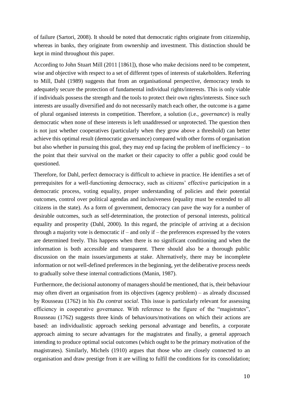of failure (Sartori, 2008). It should be noted that democratic rights originate from citizenship, whereas in banks, they originate from ownership and investment. This distinction should be kept in mind throughout this paper.

According to John Stuart Mill (2011 [1861]), those who make decisions need to be competent, wise and objective with respect to a set of different types of interests of stakeholders. Referring to Mill, Dahl (1989) suggests that from an organisational perspective, democracy tends to adequately secure the protection of fundamental individual rights/interests. This is only viable if individuals possess the strength and the tools to protect their own rights/interests. Since such interests are usually diversified and do not necessarily match each other, the outcome is a game of plural organised interests in competition. Therefore, a solution (i.e., *governance*) is really democratic when none of these interests is left unaddressed or unprotected. The question then is not just whether cooperatives (particularly when they grow above a threshold) can better achieve this optimal result (democratic governance) compared with other forms of organisation but also whether in pursuing this goal, they may end up facing the problem of inefficiency – to the point that their survival on the market or their capacity to offer a public good could be questioned.

Therefore, for Dahl, perfect democracy is difficult to achieve in practice. He identifies a set of prerequisites for a well-functioning democracy, such as citizens' effective participation in a democratic process, voting equality, proper understanding of policies and their potential outcomes, control over political agendas and inclusiveness (equality must be extended to all citizens in the state). As a form of government, democracy can pave the way for a number of desirable outcomes, such as self-determination, the protection of personal interests, political equality and prosperity (Dahl, 2000). In this regard, the principle of arriving at a decision through a majority vote is democratic if – and only if – the preferences expressed by the voters are determined freely. This happens when there is no significant conditioning and when the information is both accessible and transparent. There should also be a thorough public discussion on the main issues/arguments at stake. Alternatively, there may be incomplete information or not well-defined preferences in the beginning, yet the deliberative process needs to gradually solve these internal contradictions (Manin, 1987).

Furthermore, the decisional autonomy of managers should be mentioned, that is, their behaviour may often divert an organisation from its objectives (agency problem) – as already discussed by Rousseau (1762) in his *Du contrat social*. This issue is particularly relevant for assessing efficiency in cooperative governance. With reference to the figure of the "magistrates", Rousseau (1762) suggests three kinds of behaviours/motivations on which their actions are based: an individualistic approach seeking personal advantage and benefits, a corporate approach aiming to secure advantages for the magistrates and finally, a general approach intending to produce optimal social outcomes (which ought to be the primary motivation of the magistrates). Similarly, Michels (1910) argues that those who are closely connected to an organisation and draw prestige from it are willing to fulfil the conditions for its consolidation;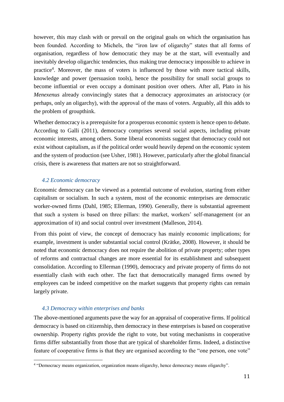however, this may clash with or prevail on the original goals on which the organisation has been founded. According to Michels, the "iron law of oligarchy" states that all forms of organisation, regardless of how democratic they may be at the start, will eventually and inevitably develop oligarchic tendencies, thus making true democracy impossible to achieve in practice<sup>4</sup>. Moreover, the mass of voters is influenced by those with more tactical skills, knowledge and power (persuasion tools), hence the possibility for small social groups to become influential or even occupy a dominant position over others. After all, Plato in his *Menexenus* already convincingly states that a democracy approximates an aristocracy (or perhaps, only an oligarchy), with the approval of the mass of voters. Arguably, all this adds to the problem of groupthink.

Whether democracy is a prerequisite for a prosperous economic system is hence open to debate. According to Galli (2011), democracy comprises several social aspects, including private economic interests, among others. Some liberal economists suggest that democracy could not exist without capitalism, as if the political order would heavily depend on the economic system and the system of production (see Usher, 1981). However, particularly after the global financial crisis, there is awareness that matters are not so straightforward.

## *4.2 Economic democracy*

Economic democracy can be viewed as a potential outcome of evolution, starting from either capitalism or socialism. In such a system, most of the economic enterprises are democratic worker-owned firms (Dahl, 1985; Ellerman, 1990). Generally, there is substantial agreement that such a system is based on three pillars: the market, workers' self-management (or an approximation of it) and social control over investment (Malleson, 2014).

From this point of view, the concept of democracy has mainly economic implications; for example, investment is under substantial social control (Krätke, 2008). However, it should be noted that economic democracy does not require the abolition of private property; other types of reforms and contractual changes are more essential for its establishment and subsequent consolidation. According to Ellerman (1990), democracy and private property of firms do not essentially clash with each other. The fact that democratically managed firms owned by employees can be indeed competitive on the market suggests that property rights can remain largely private.

#### *4.3 Democracy within enterprises and banks*

 $\overline{a}$ 

The above-mentioned arguments pave the way for an appraisal of cooperative firms. If political democracy is based on citizenship, then democracy in these enterprises is based on cooperative ownership. Property rights provide the right to vote, but voting mechanisms in cooperative firms differ substantially from those that are typical of shareholder firms. Indeed, a distinctive feature of cooperative firms is that they are organised according to the "one person, one vote"

<sup>4</sup> "Democracy means organization, organization means oligarchy, hence democracy means oligarchy".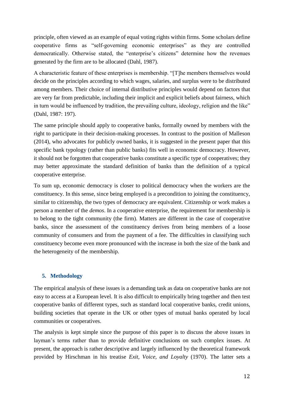principle, often viewed as an example of equal voting rights within firms. Some scholars define cooperative firms as "self-governing economic enterprises" as they are controlled democratically. Otherwise stated, the "enterprise's citizens" determine how the revenues generated by the firm are to be allocated (Dahl, 1987).

A characteristic feature of these enterprises is membership. "[T]he members themselves would decide on the principles according to which wages, salaries, and surplus were to be distributed among members. Their choice of internal distributive principles would depend on factors that are very far from predictable, including their implicit and explicit beliefs about fairness, which in turn would be influenced by tradition, the prevailing culture, ideology, religion and the like" (Dahl, 1987: 197).

The same principle should apply to cooperative banks, formally owned by members with the right to participate in their decision-making processes. In contrast to the position of Malleson (2014), who advocates for publicly owned banks, it is suggested in the present paper that this specific bank typology (rather than public banks) fits well in economic democracy. However, it should not be forgotten that cooperative banks constitute a specific type of cooperatives; they may better approximate the standard definition of banks than the definition of a typical cooperative enterprise.

To sum up, economic democracy is closer to political democracy when the workers are the constituency. In this sense, since being employed is a precondition to joining the constituency, similar to citizenship, the two types of democracy are equivalent. Citizenship or work makes a person a member of the *demos*. In a cooperative enterprise, the requirement for membership is to belong to the tight community (the firm). Matters are different in the case of cooperative banks, since the assessment of the constituency derives from being members of a loose community of consumers and from the payment of a fee. The difficulties in classifying such constituency become even more pronounced with the increase in both the size of the bank and the heterogeneity of the membership.

# **5. Methodology**

The empirical analysis of these issues is a demanding task as data on cooperative banks are not easy to access at a European level. It is also difficult to empirically bring together and then test cooperative banks of different types, such as standard local cooperative banks, credit unions, building societies that operate in the UK or other types of mutual banks operated by local communities or cooperatives.

The analysis is kept simple since the purpose of this paper is to discuss the above issues in layman's terms rather than to provide definitive conclusions on such complex issues. At present, the approach is rather descriptive and largely influenced by the theoretical framework provided by Hirschman in his treatise *Exit, Voice, and Loyalty* (1970). The latter sets a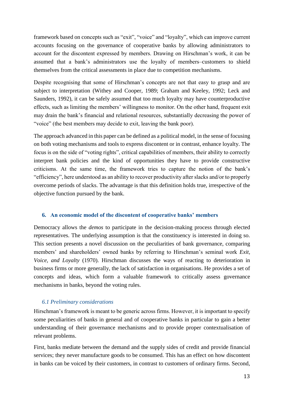framework based on concepts such as "exit", "voice" and "loyalty", which can improve current accounts focusing on the governance of cooperative banks by allowing administrators to account for the discontent expressed by members. Drawing on Hirschman's work, it can be assumed that a bank's administrators use the loyalty of members–customers to shield themselves from the critical assessments in place due to competition mechanisms.

Despite recognising that some of Hirschman's concepts are not that easy to grasp and are subject to interpretation (Withey and Cooper, 1989; Graham and Keeley, 1992; Leck and Saunders, 1992), it can be safely assumed that too much loyalty may have counterproductive effects, such as limiting the members' willingness to monitor. On the other hand, frequent exit may drain the bank's financial and relational resources, substantially decreasing the power of "voice" (the best members may decide to exit, leaving the bank poor).

The approach advanced in this paper can be defined as a political model, in the sense of focusing on both voting mechanisms and tools to express discontent or in contrast, enhance loyalty. The focus is on the side of "voting rights", critical capabilities of members, their ability to correctly interpret bank policies and the kind of opportunities they have to provide constructive criticisms. At the same time, the framework tries to capture the notion of the bank's "efficiency", here understood as an ability to recover productivity after slacks and/or to properly overcome periods of slacks. The advantage is that this definition holds true, irrespective of the objective function pursued by the bank.

# **6. An economic model of the discontent of cooperative banks' members**

Democracy allows the *demos* to participate in the decision-making process through elected representatives. The underlying assumption is that the constituency is interested in doing so. This section presents a novel discussion on the peculiarities of bank governance, comparing members' and shareholders' owned banks by referring to Hirschman's seminal work *Exit, Voice, and Loyalty* (1970). Hirschman discusses the ways of reacting to deterioration in business firms or more generally, the lack of satisfaction in organisations. He provides a set of concepts and ideas, which form a valuable framework to critically assess governance mechanisms in banks, beyond the voting rules.

# *6.1 Preliminary considerations*

Hirschman's framework is meant to be generic across firms. However, it is important to specify some peculiarities of banks in general and of cooperative banks in particular to gain a better understanding of their governance mechanisms and to provide proper contextualisation of relevant problems.

First, banks mediate between the demand and the supply sides of credit and provide financial services; they never manufacture goods to be consumed. This has an effect on how discontent in banks can be voiced by their customers, in contrast to customers of ordinary firms. Second,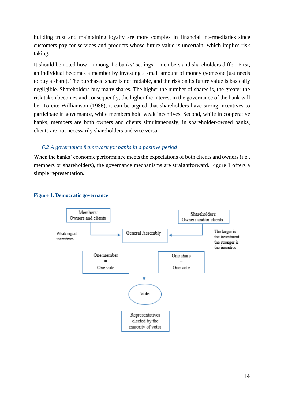building trust and maintaining loyalty are more complex in financial intermediaries since customers pay for services and products whose future value is uncertain, which implies risk taking.

It should be noted how – among the banks' settings – members and shareholders differ. First, an individual becomes a member by investing a small amount of money (someone just needs to buy a share). The purchased share is not tradable, and the risk on its future value is basically negligible. Shareholders buy many shares. The higher the number of shares is, the greater the risk taken becomes and consequently, the higher the interest in the governance of the bank will be. To cite Williamson (1986), it can be argued that shareholders have strong incentives to participate in governance, while members hold weak incentives. Second, while in cooperative banks, members are both owners and clients simultaneously, in shareholder-owned banks, clients are not necessarily shareholders and vice versa.

# *6.2 A governance framework for banks in a positive period*

When the banks' economic performance meets the expectations of both clients and owners (i.e., members or shareholders), the governance mechanisms are straightforward. Figure 1 offers a simple representation.



#### **Figure 1. Democratic governance**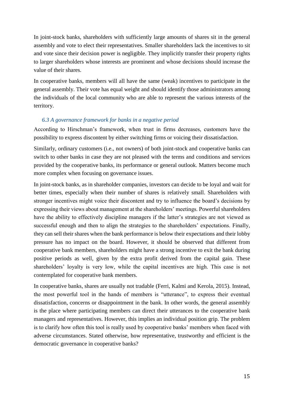In joint-stock banks, shareholders with sufficiently large amounts of shares sit in the general assembly and vote to elect their representatives. Smaller shareholders lack the incentives to sit and vote since their decision power is negligible. They implicitly transfer their property rights to larger shareholders whose interests are prominent and whose decisions should increase the value of their shares.

In cooperative banks, members will all have the same (weak) incentives to participate in the general assembly. Their vote has equal weight and should identify those administrators among the individuals of the local community who are able to represent the various interests of the territory.

## *6.3 A governance framework for banks in a negative period*

According to Hirschman's framework, when trust in firms decreases, customers have the possibility to express discontent by either switching firms or voicing their dissatisfaction.

Similarly, ordinary customers (i.e., not owners) of both joint-stock and cooperative banks can switch to other banks in case they are not pleased with the terms and conditions and services provided by the cooperative banks, its performance or general outlook. Matters become much more complex when focusing on governance issues.

In joint-stock banks, as in shareholder companies, investors can decide to be loyal and wait for better times, especially when their number of shares is relatively small. Shareholders with stronger incentives might voice their discontent and try to influence the board's decisions by expressing their views about management at the shareholders' meetings. Powerful shareholders have the ability to effectively discipline managers if the latter's strategies are not viewed as successful enough and then to align the strategies to the shareholders' expectations. Finally, they can sell their shares when the bank performance is below their expectations and their lobby pressure has no impact on the board. However, it should be observed that different from cooperative bank members, shareholders might have a strong incentive to exit the bank during positive periods as well, given by the extra profit derived from the capital gain. These shareholders' loyalty is very low, while the capital incentives are high. This case is not contemplated for cooperative bank members.

In cooperative banks, shares are usually not tradable (Ferri, Kalmi and Kerola, 2015). Instead, the most powerful tool in the hands of members is "utterance", to express their eventual dissatisfaction, concerns or disappointment in the bank. In other words, the general assembly is the place where participating members can direct their utterances to the cooperative bank managers and representatives. However, this implies an individual position grip. The problem is to clarify how often this tool is really used by cooperative banks' members when faced with adverse circumstances. Stated otherwise, how representative, trustworthy and efficient is the democratic governance in cooperative banks?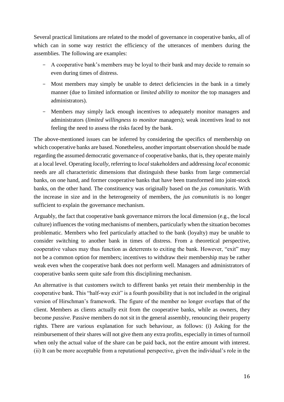Several practical limitations are related to the model of governance in cooperative banks, all of which can in some way restrict the efficiency of the utterances of members during the assemblies. The following are examples:

- A cooperative bank's members may be loyal to their bank and may decide to remain so even during times of distress.
- Most members may simply be unable to detect deficiencies in the bank in a timely manner (due to limited information or *limited ability to monitor* the top managers and administrators).
- Members may simply lack enough incentives to adequately monitor managers and administrators (*limited willingness to monitor* managers); weak incentives lead to not feeling the need to assess the risks faced by the bank.

The above-mentioned issues can be inferred by considering the specifics of membership on which cooperative banks are based. Nonetheless, another important observation should be made regarding the assumed democratic governance of cooperative banks, that is, they operate mainly at a local level. Operating *locally*, referring to *local* stakeholders and addressing *local* economic needs are all characteristic dimensions that distinguish these banks from large commercial banks, on one hand, and former cooperative banks that have been transformed into joint-stock banks, on the other hand. The constituency was originally based on the *jus comunitatis*. With the increase in size and in the heterogeneity of members, the *jus comunitatis* is no longer sufficient to explain the governance mechanism.

Arguably, the fact that cooperative bank governance mirrors the local dimension (e.g., the local culture) influences the voting mechanisms of members, particularly when the situation becomes problematic. Members who feel particularly attached to the bank (loyalty) may be unable to consider switching to another bank in times of distress. From a theoretical perspective, cooperative values may thus function as deterrents to exiting the bank. However, "exit" may not be a common option for members; incentives to withdraw their membership may be rather weak even when the cooperative bank does not perform well. Managers and administrators of cooperative banks seem quite safe from this disciplining mechanism.

An alternative is that customers switch to different banks yet retain their membership in the cooperative bank. This "half-way exit" is a fourth possibility that is not included in the original version of Hirschman's framework. The figure of the member no longer overlaps that of the client. Members as clients actually exit from the cooperative banks, while as owners, they become *passive*. Passive members do not sit in the general assembly, renouncing their property rights. There are various explanation for such behaviour, as follows: (i) Asking for the reimbursement of their shares will not give them any extra profits, especially in times of turmoil when only the actual value of the share can be paid back, not the entire amount with interest. (ii) It can be more acceptable from a reputational perspective, given the individual's role in the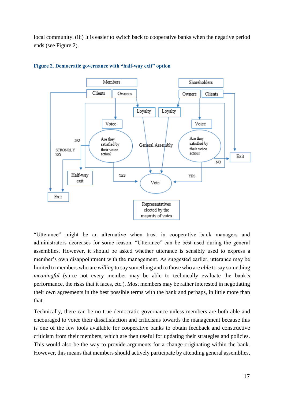local community. (iii) It is easier to switch back to cooperative banks when the negative period ends (see Figure 2).



#### **Figure 2. Democratic governance with "half-way exit" option**

"Utterance" might be an alternative when trust in cooperative bank managers and administrators decreases for some reason. "Utterance" can be best used during the general assemblies. However, it should be asked whether utterance is sensibly used to express a member's own disappointment with the management. As suggested earlier, utterance may be limited to members who are *willing* to say something and to those who are *able* to say something *meaningful* (since not every member may be able to technically evaluate the bank's performance, the risks that it faces, etc.). Most members may be rather interested in negotiating their own agreements in the best possible terms with the bank and perhaps, in little more than that.

Technically, there can be no true democratic governance unless members are both able and encouraged to voice their dissatisfaction and criticisms towards the management because this is one of the few tools available for cooperative banks to obtain feedback and constructive criticism from their members, which are then useful for updating their strategies and policies. This would also be the way to provide arguments for a change originating within the bank. However, this means that members should actively participate by attending general assemblies,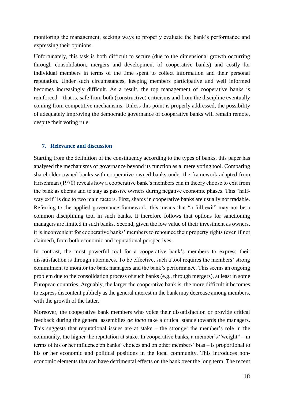monitoring the management, seeking ways to properly evaluate the bank's performance and expressing their opinions.

Unfortunately, this task is both difficult to secure (due to the dimensional growth occurring through consolidation, mergers and development of cooperative banks) and costly for individual members in terms of the time spent to collect information and their personal reputation. Under such circumstances, keeping members participative and well informed becomes increasingly difficult. As a result, the top management of cooperative banks is reinforced – that is, safe from both (constructive) criticisms and from the discipline eventually coming from competitive mechanisms. Unless this point is properly addressed, the possibility of adequately improving the democratic governance of cooperative banks will remain remote, despite their voting rule.

# **7. Relevance and discussion**

Starting from the definition of the constituency according to the types of banks, this paper has analysed the mechanisms of governance beyond its function as a mere voting tool. Comparing shareholder-owned banks with cooperative-owned banks under the framework adapted from Hirschman (1970) reveals how a cooperative bank's members can in theory choose to exit from the bank as clients and to stay as passive owners during negative economic phases. This "halfway exit" is due to two main factors. First, shares in cooperative banks are usually not tradable. Referring to the applied governance framework, this means that "a full exit" may not be a common disciplining tool in such banks. It therefore follows that options for sanctioning managers are limited in such banks. Second, given the low value of their investment as owners, it is inconvenient for cooperative banks' members to renounce their property rights (even if not claimed), from both economic and reputational perspectives.

In contrast, the most powerful tool for a cooperative bank's members to express their dissatisfaction is through utterances. To be effective, such a tool requires the members' strong commitment to monitor the bank managers and the bank's performance. This seems an ongoing problem due to the consolidation process of such banks (e.g., through mergers), at least in some European countries. Arguably, the larger the cooperative bank is, the more difficult it becomes to express discontent publicly as the general interest in the bank may decrease among members, with the growth of the latter.

Moreover, the cooperative bank members who voice their dissatisfaction or provide critical feedback during the general assemblies *de facto* take a critical stance towards the managers. This suggests that reputational issues are at stake – the stronger the member's role in the community, the higher the reputation at stake. In cooperative banks, a member's "weight" – in terms of his or her influence on banks' choices and on other members' bias – is proportional to his or her economic and political positions in the local community. This introduces noneconomic elements that can have detrimental effects on the bank over the long term. The recent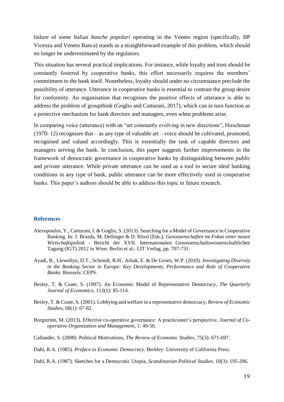failure of some Italian *banche popolari* operating in the Veneto region (specifically, BP Vicenza and Veneto Banca) stands as a straightforward example of this problem, which should no longer be underestimated by the regulators.

This situation has several practical implications. For instance, while loyalty and trust should be constantly fostered by cooperative banks, this effort necessarily requires the members' commitment to the bank itself. Nonetheless, loyalty should under no circumstance preclude the possibility of utterance. Utterance in cooperative banks is essential to contrast the group desire for conformity. An organisation that recognises the positive effects of utterance is able to address the problem of groupthink (Goglio and Catturani, 2017), which can in turn function as a protective mechanism for bank directors and managers, even when problems arise.

In comparing voice (utterance) with an "art constantly evolving in new directions", Hirschman (1970: 12) recognises that – as any type of valuable art – voice should be cultivated, promoted, recognised and valued accordingly. This is essentially the task of capable directors and managers serving the bank. In conclusion, this paper suggests further improvements in the framework of democratic governance in cooperative banks by distinguishing between *public* and *private* utterance. While private utterance can be used as a tool to secure ideal banking conditions in any type of bank, public utterance can be more effectively used in cooperative banks. This paper's authors should be able to address this topic in future research.

#### **References**

- Alexopoulos, Y., Catturani, I. & Goglio, S. (2013). Searching for a Model of Governance in Cooperative Banking. In: J. Brazda, M. Dellinger & D. Rössl (Eds.), *Genossenschaften im Fokus einer neuen Wirtschaftspolitik* - Bericht der XVII. Internationalen Genossenschaftswissenschaftlichen Tagung (IGT) 2012 in Wien. Berlin et al.: LIT Verlag, pp. 707-731.
- Ayadi, R., Llewellyn, D.T., Schmidt, R.H., Arbak, E. & De Groen, W.P. (2010). *Investigating Diversity in the Banking Sector in Europe: Key Developments, Performance and Role of Cooperative Banks*. Brussels: CEPS.
- Besley, T. & Coate, S. (1997). An Economic Model of Representative Democracy, *The Quarterly Journal of Economics*, 112(1): 85-114.
- Besley, T. & Coate, S. (2001). Lobbying and welfare in a representative democracy, *Review of Economic Studies*, 68(1): 67-82.
- Borgström, M. (2013). Effective co-operative governance: A practicioner's perspective, *Journal of Cooperative Organization and Management*, 1: 49-50.
- Callander, S. (2008). Political Motivations, *The Review of Economic Studies*, 75(3): 671-697.

Dahl, R.A. (1985). *Preface to Economic Democracy*. Berkley: University of California Press.

Dahl, R.A. (1987). Sketches for a Democratic Utopia, *Scandinavian Political Studies*, 10(3): 195-206.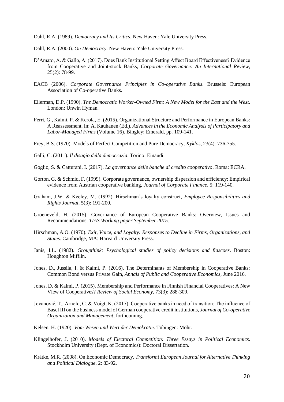Dahl, R.A. (1989). *Democracy and Its Critics*. New Haven: Yale University Press.

- Dahl, R.A. (2000). *On Democracy*. New Haven: Yale University Press.
- D'Amato, A. & Gallo, A. (2017). Does Bank Institutional Setting Affect Board Effectiveness? Evidence from Cooperative and Joint-stock Banks, *Corporate Governance: An International Review*, 25(2): 78-99.
- EACB (2006). *Corporate Governance Principles in Co-operative Banks*. Brussels: European Association of Co-operative Banks.
- Ellerman, D.P. (1990). *The Democratic Worker-Owned Firm: A New Model for the East and the West*. London: Unwin Hyman.
- Ferri, G., Kalmi, P. & Kerola, E. (2015). Organizational Structure and Performance in European Banks: A Reassessment. In: A. Kauhanen (Ed.), *Advances in the Economic Analysis of Participatory and Labor-Managed Firms* (Volume 16). Bingley: Emerald, pp. 109-141.
- Frey, B.S. (1970). Models of Perfect Competition and Pure Democracy, *Kyklos*, 23(4): 736-755.
- Galli, C. (2011). *Il disagio della democrazia*. Torino: Einaudi.
- Goglio, S. & Catturani, I. (2017). *La governance delle banche di credito cooperativo*. Roma: ECRA.
- Gorton, G. & Schmid, F. (1999). Corporate governance, ownership dispersion and efficiency: Empirical evidence from Austrian cooperative banking, *Journal of Corporate Finance*, 5: 119-140.
- Graham, J.W. & Keeley, M. (1992). Hirschman's loyalty construct, *Employee Responsibilities and Rights Journal*, 5(3): 191-200.
- Groeneveld, H. (2015). Governance of European Cooperative Banks: Overview, Issues and Recommendations, *TIAS Working paper September 2015*.
- Hirschman, A.O. (1970). *Exit, Voice, and Loyalty: Responses to Decline in Firms, Organizations, and States*. Cambridge, MA: Harvard University Press.
- Janis, I.L. (1982). *Groupthink: Psychological studies of policy decisions and fiascoes*. Boston: Houghton Mifflin.
- Jones, D., Jussila, I. & Kalmi, P. (2016). The Determinants of Membership in Cooperative Banks: Common Bond versus Private Gain, *Annals of Public and Cooperative Economics*, June 2016.
- Jones, D. & Kalmi, P. (2015). Membership and Performance in Finnish Financial Cooperatives: A New View of Cooperatives? *Review of Social Economy*, 73(3): 288-309.
- Jovanović, T., Arnold, C. & Voigt, K. (2017). Cooperative banks in need of transition: The influence of Basel III on the business model of German cooperative credit institutions, *Journal of Co-operative Organization and Management*, forthcoming.
- Kelsen, H. (1920). *Vom Wesen und Wert der Demokratie*. Tübingen: Mohr.
- Klingelhofer, J. (2010). *Models of Electoral Competition: Three Essays in Political Economics*. Stockholm University (Dept. of Economics): Doctoral Dissertation.
- Krätke, M.R. (2008). On Economic Democracy, *Transform! European Journal for Alternative Thinking and Political Dialogue*, 2: 83-92.